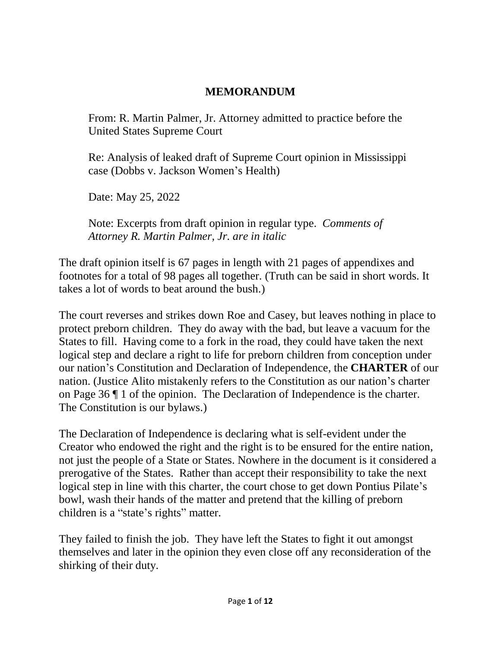## **MEMORANDUM**

From: R. Martin Palmer, Jr. Attorney admitted to practice before the United States Supreme Court

Re: Analysis of leaked draft of Supreme Court opinion in Mississippi case (Dobbs v. Jackson Women's Health)

Date: May 25, 2022

Note: Excerpts from draft opinion in regular type. *Comments of Attorney R. Martin Palmer, Jr. are in italic*

The draft opinion itself is 67 pages in length with 21 pages of appendixes and footnotes for a total of 98 pages all together. (Truth can be said in short words. It takes a lot of words to beat around the bush.)

The court reverses and strikes down Roe and Casey, but leaves nothing in place to protect preborn children. They do away with the bad, but leave a vacuum for the States to fill. Having come to a fork in the road, they could have taken the next logical step and declare a right to life for preborn children from conception under our nation's Constitution and Declaration of Independence, the **CHARTER** of our nation. (Justice Alito mistakenly refers to the Constitution as our nation's charter on Page 36 ¶ 1 of the opinion. The Declaration of Independence is the charter. The Constitution is our bylaws.)

The Declaration of Independence is declaring what is self-evident under the Creator who endowed the right and the right is to be ensured for the entire nation, not just the people of a State or States. Nowhere in the document is it considered a prerogative of the States. Rather than accept their responsibility to take the next logical step in line with this charter, the court chose to get down Pontius Pilate's bowl, wash their hands of the matter and pretend that the killing of preborn children is a "state's rights" matter.

They failed to finish the job. They have left the States to fight it out amongst themselves and later in the opinion they even close off any reconsideration of the shirking of their duty.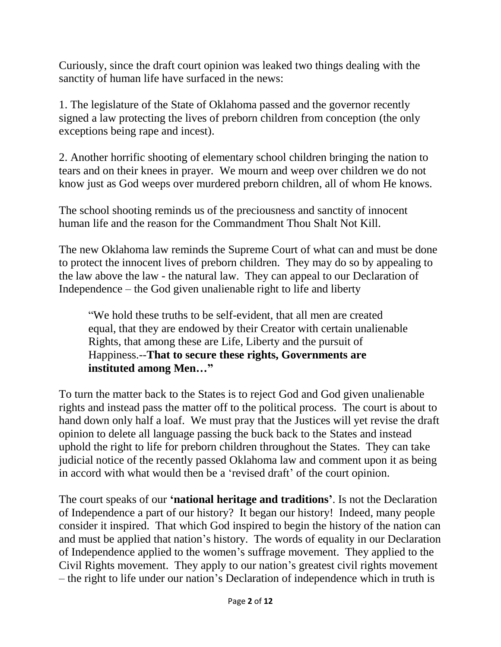Curiously, since the draft court opinion was leaked two things dealing with the sanctity of human life have surfaced in the news:

1. The legislature of the State of Oklahoma passed and the governor recently signed a law protecting the lives of preborn children from conception (the only exceptions being rape and incest).

2. Another horrific shooting of elementary school children bringing the nation to tears and on their knees in prayer. We mourn and weep over children we do not know just as God weeps over murdered preborn children, all of whom He knows.

The school shooting reminds us of the preciousness and sanctity of innocent human life and the reason for the Commandment Thou Shalt Not Kill.

The new Oklahoma law reminds the Supreme Court of what can and must be done to protect the innocent lives of preborn children. They may do so by appealing to the law above the law - the natural law. They can appeal to our Declaration of Independence – the God given unalienable right to life and liberty

"We hold these truths to be self-evident, that all men are created equal, that they are endowed by their Creator with certain unalienable Rights, that among these are Life, Liberty and the pursuit of Happiness.--**That to secure these rights, Governments are instituted among Men…"**

To turn the matter back to the States is to reject God and God given unalienable rights and instead pass the matter off to the political process. The court is about to hand down only half a loaf. We must pray that the Justices will yet revise the draft opinion to delete all language passing the buck back to the States and instead uphold the right to life for preborn children throughout the States. They can take judicial notice of the recently passed Oklahoma law and comment upon it as being in accord with what would then be a 'revised draft' of the court opinion.

The court speaks of our **'national heritage and traditions'**. Is not the Declaration of Independence a part of our history? It began our history! Indeed, many people consider it inspired. That which God inspired to begin the history of the nation can and must be applied that nation's history. The words of equality in our Declaration of Independence applied to the women's suffrage movement. They applied to the Civil Rights movement. They apply to our nation's greatest civil rights movement – the right to life under our nation's Declaration of independence which in truth is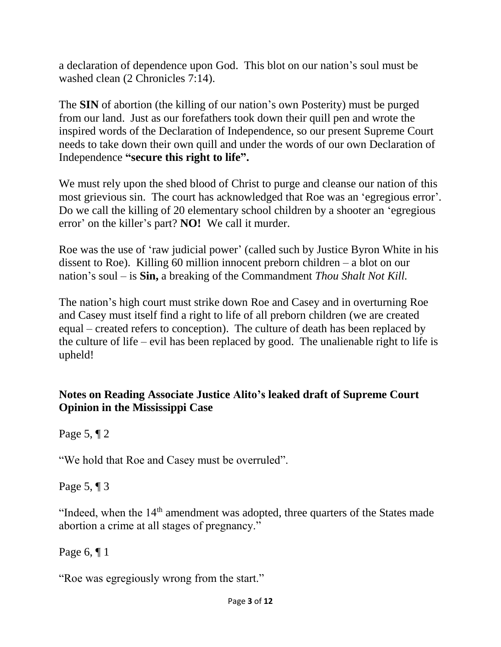a declaration of dependence upon God. This blot on our nation's soul must be washed clean (2 Chronicles 7:14).

The **SIN** of abortion (the killing of our nation's own Posterity) must be purged from our land. Just as our forefathers took down their quill pen and wrote the inspired words of the Declaration of Independence, so our present Supreme Court needs to take down their own quill and under the words of our own Declaration of Independence **"secure this right to life".**

We must rely upon the shed blood of Christ to purge and cleanse our nation of this most grievious sin. The court has acknowledged that Roe was an 'egregious error'. Do we call the killing of 20 elementary school children by a shooter an 'egregious error' on the killer's part? **NO!** We call it murder.

Roe was the use of 'raw judicial power' (called such by Justice Byron White in his dissent to Roe). Killing 60 million innocent preborn children – a blot on our nation's soul – is **Sin,** a breaking of the Commandment *Thou Shalt Not Kill.*

The nation's high court must strike down Roe and Casey and in overturning Roe and Casey must itself find a right to life of all preborn children (we are created equal – created refers to conception). The culture of death has been replaced by the culture of life – evil has been replaced by good. The unalienable right to life is upheld!

## **Notes on Reading Associate Justice Alito's leaked draft of Supreme Court Opinion in the Mississippi Case**

Page 5, ¶ 2

"We hold that Roe and Casey must be overruled".

Page 5, ¶ 3

"Indeed, when the  $14<sup>th</sup>$  amendment was adopted, three quarters of the States made abortion a crime at all stages of pregnancy."

Page 6, ¶ 1

"Roe was egregiously wrong from the start."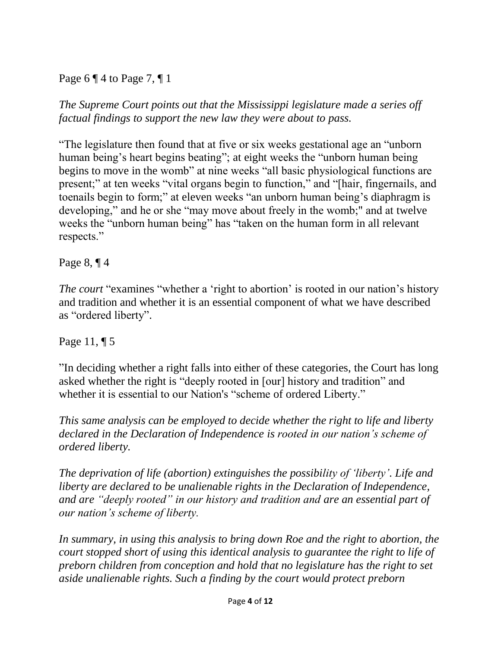Page 6  $\P$  4 to Page 7,  $\P$  1

*The Supreme Court points out that the Mississippi legislature made a series off factual findings to support the new law they were about to pass.*

"The legislature then found that at five or six weeks gestational age an "unborn human being's heart begins beating"; at eight weeks the "unborn human being begins to move in the womb" at nine weeks "all basic physiological functions are present;" at ten weeks "vital organs begin to function," and "[hair, fingernails, and toenails begin to form;" at eleven weeks "an unborn human being's diaphragm is developing," and he or she "may move about freely in the womb;" and at twelve weeks the "unborn human being" has "taken on the human form in all relevant respects."

Page 8, ¶ 4

*The court* "examines "whether a 'right to abortion' is rooted in our nation's history and tradition and whether it is an essential component of what we have described as "ordered liberty".

Page 11, ¶ 5

"In deciding whether a right falls into either of these categories, the Court has long asked whether the right is "deeply rooted in [our] history and tradition" and whether it is essential to our Nation's "scheme of ordered Liberty."

*This same analysis can be employed to decide whether the right to life and liberty declared in the Declaration of Independence is rooted in our nation's scheme of ordered liberty.*

*The deprivation of life (abortion) extinguishes the possibility of 'liberty'. Life and liberty are declared to be unalienable rights in the Declaration of Independence, and are "deeply rooted" in our history and tradition and are an essential part of our nation's scheme of liberty.*

In summary, in using this analysis to bring down Roe and the right to abortion, the *court stopped short of using this identical analysis to guarantee the right to life of preborn children from conception and hold that no legislature has the right to set aside unalienable rights. Such a finding by the court would protect preborn*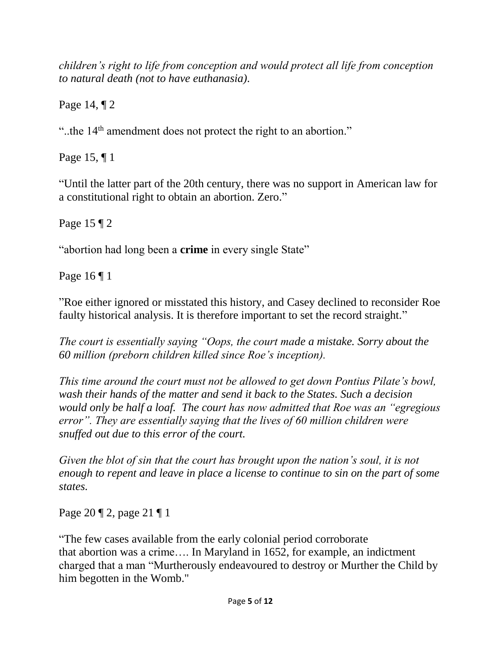*children's right to life from conception and would protect all life from conception to natural death (not to have euthanasia).*

Page 14, ¶ 2

"..the 14<sup>th</sup> amendment does not protect the right to an abortion."

Page 15, ¶ 1

"Until the latter part of the 20th century, there was no support in American law for a constitutional right to obtain an abortion. Zero."

Page 15 ¶ 2

"abortion had long been a **crime** in every single State"

Page 16 ¶ 1

"Roe either ignored or misstated this history, and Casey declined to reconsider Roe faulty historical analysis. It is therefore important to set the record straight."

*The court is essentially saying "Oops, the court made a mistake. Sorry about the 60 million (preborn children killed since Roe's inception).* 

*This time around the court must not be allowed to get down Pontius Pilate's bowl, wash their hands of the matter and send it back to the States. Such a decision would only be half a loaf. The court has now admitted that Roe was an "egregious error". They are essentially saying that the lives of 60 million children were snuffed out due to this error of the court.*

*Given the blot of sin that the court has brought upon the nation's soul, it is not enough to repent and leave in place a license to continue to sin on the part of some states.*

Page 20 ¶ 2, page 21 ¶ 1

"The few cases available from the early colonial period corroborate that abortion was a crime…. In Maryland in 1652, for example, an indictment charged that a man "Murtherously endeavoured to destroy or Murther the Child by him begotten in the Womb."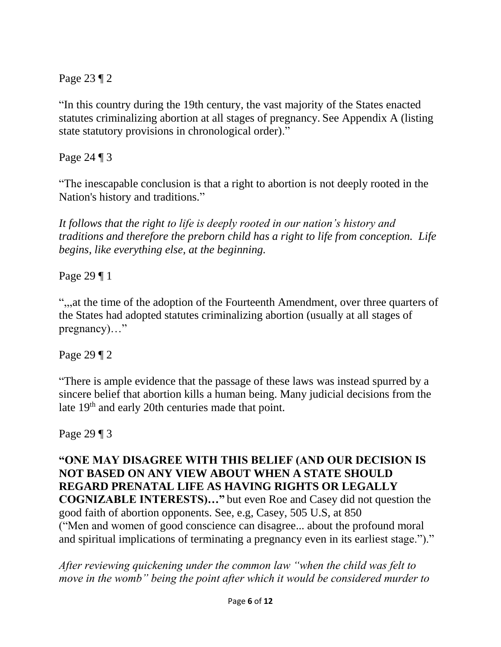Page 23 ¶ 2

"In this country during the 19th century, the vast majority of the States enacted statutes criminalizing abortion at all stages of pregnancy. See Appendix A (listing state statutory provisions in chronological order)."

Page 24 ¶ 3

"The inescapable conclusion is that a right to abortion is not deeply rooted in the Nation's history and traditions."

*It follows that the right to life is deeply rooted in our nation's history and traditions and therefore the preborn child has a right to life from conception. Life begins, like everything else, at the beginning.*

Page 29 ¶ 1

",,,at the time of the adoption of the Fourteenth Amendment, over three quarters of the States had adopted statutes criminalizing abortion (usually at all stages of pregnancy)..."

Page 29 ¶ 2

"There is ample evidence that the passage of these laws was instead spurred by a sincere belief that abortion kills a human being. Many judicial decisions from the late 19<sup>th</sup> and early 20th centuries made that point.

Page 29 ¶ 3

**"ONE MAY DISAGREE WITH THIS BELIEF (AND OUR DECISION IS NOT BASED ON ANY VIEW ABOUT WHEN A STATE SHOULD REGARD PRENATAL LIFE AS HAVING RIGHTS OR LEGALLY COGNIZABLE INTERESTS)…"** but even Roe and Casey did not question the good faith of abortion opponents. See, e.g, Casey, 505 U.S, at 850 ("Men and women of good conscience can disagree... about the profound moral and spiritual implications of terminating a pregnancy even in its earliest stage.")."

*After reviewing quickening under the common law "when the child was felt to move in the womb" being the point after which it would be considered murder to*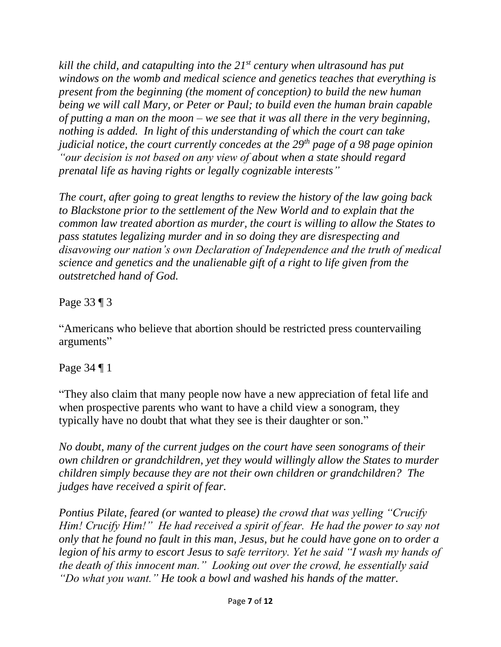*kill the child, and catapulting into the 21st century when ultrasound has put windows on the womb and medical science and genetics teaches that everything is present from the beginning (the moment of conception) to build the new human being we will call Mary, or Peter or Paul; to build even the human brain capable of putting a man on the moon – we see that it was all there in the very beginning, nothing is added. In light of this understanding of which the court can take judicial notice, the court currently concedes at the 29th page of a 98 page opinion "our decision is not based on any view of about when a state should regard prenatal life as having rights or legally cognizable interests"*

*The court, after going to great lengths to review the history of the law going back to Blackstone prior to the settlement of the New World and to explain that the common law treated abortion as murder, the court is willing to allow the States to pass statutes legalizing murder and in so doing they are disrespecting and disavowing our nation's own Declaration of Independence and the truth of medical science and genetics and the unalienable gift of a right to life given from the outstretched hand of God.*

Page 33 ¶ 3

"Americans who believe that abortion should be restricted press countervailing arguments"

Page 34 ¶ 1

"They also claim that many people now have a new appreciation of fetal life and when prospective parents who want to have a child view a sonogram, they typically have no doubt that what they see is their daughter or son."

*No doubt, many of the current judges on the court have seen sonograms of their own children or grandchildren, yet they would willingly allow the States to murder children simply because they are not their own children or grandchildren? The judges have received a spirit of fear.* 

*Pontius Pilate, feared (or wanted to please) the crowd that was yelling "Crucify Him! Crucify Him!" He had received a spirit of fear. He had the power to say not only that he found no fault in this man, Jesus, but he could have gone on to order a legion of his army to escort Jesus to safe territory. Yet he said "I wash my hands of the death of this innocent man." Looking out over the crowd, he essentially said "Do what you want." He took a bowl and washed his hands of the matter.*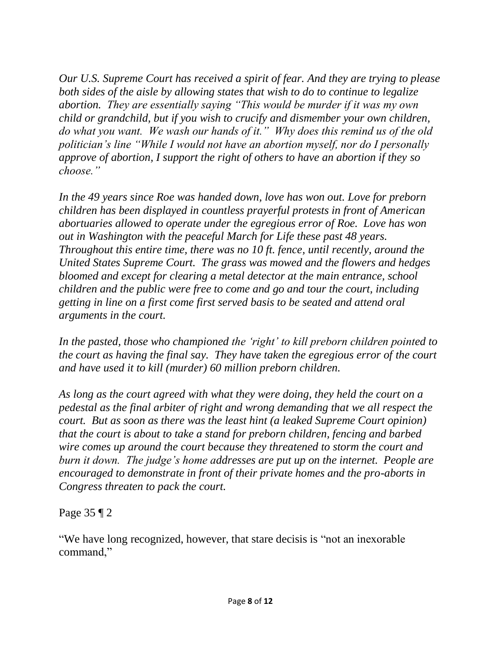*Our U.S. Supreme Court has received a spirit of fear. And they are trying to please both sides of the aisle by allowing states that wish to do to continue to legalize abortion. They are essentially saying "This would be murder if it was my own child or grandchild, but if you wish to crucify and dismember your own children, do what you want. We wash our hands of it." Why does this remind us of the old politician's line "While I would not have an abortion myself, nor do I personally approve of abortion, I support the right of others to have an abortion if they so choose."*

*In the 49 years since Roe was handed down, love has won out. Love for preborn children has been displayed in countless prayerful protests in front of American abortuaries allowed to operate under the egregious error of Roe. Love has won out in Washington with the peaceful March for Life these past 48 years. Throughout this entire time, there was no 10 ft. fence, until recently, around the United States Supreme Court. The grass was mowed and the flowers and hedges bloomed and except for clearing a metal detector at the main entrance, school children and the public were free to come and go and tour the court, including getting in line on a first come first served basis to be seated and attend oral arguments in the court.* 

*In the pasted, those who championed the 'right' to kill preborn children pointed to the court as having the final say. They have taken the egregious error of the court and have used it to kill (murder) 60 million preborn children.* 

*As long as the court agreed with what they were doing, they held the court on a pedestal as the final arbiter of right and wrong demanding that we all respect the court. But as soon as there was the least hint (a leaked Supreme Court opinion) that the court is about to take a stand for preborn children, fencing and barbed wire comes up around the court because they threatened to storm the court and burn it down. The judge's home addresses are put up on the internet. People are encouraged to demonstrate in front of their private homes and the pro-aborts in Congress threaten to pack the court.*

Page 35 ¶ 2

"We have long recognized, however, that stare decisis is "not an inexorable command,"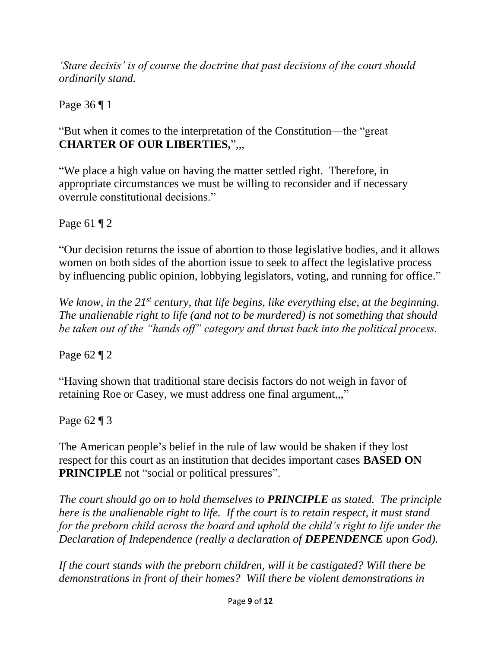*'Stare decisis' is of course the doctrine that past decisions of the court should ordinarily stand.*

Page 36 ¶ 1

"But when it comes to the interpretation of the Constitution—the "great **CHARTER OF OUR LIBERTIES,**",,,

"We place a high value on having the matter settled right. Therefore, in appropriate circumstances we must be willing to reconsider and if necessary overrule constitutional decisions."

Page 61 ¶ 2

"Our decision returns the issue of abortion to those legislative bodies, and it allows women on both sides of the abortion issue to seek to affect the legislative process by influencing public opinion, lobbying legislators, voting, and running for office."

*We know, in the 21st century, that life begins, like everything else, at the beginning. The unalienable right to life (and not to be murdered) is not something that should be taken out of the "hands off" category and thrust back into the political process.*

Page 62 ¶ 2

"Having shown that traditional stare decisis factors do not weigh in favor of retaining Roe or Casey, we must address one final argument,,,"

Page 62 ¶ 3

The American people's belief in the rule of law would be shaken if they lost respect for this court as an institution that decides important cases **BASED ON PRINCIPLE** not "social or political pressures".

*The court should go on to hold themselves to PRINCIPLE as stated. The principle here is the unalienable right to life. If the court is to retain respect, it must stand for the preborn child across the board and uphold the child's right to life under the Declaration of Independence (really a declaration of DEPENDENCE upon God).* 

*If the court stands with the preborn children, will it be castigated? Will there be demonstrations in front of their homes? Will there be violent demonstrations in*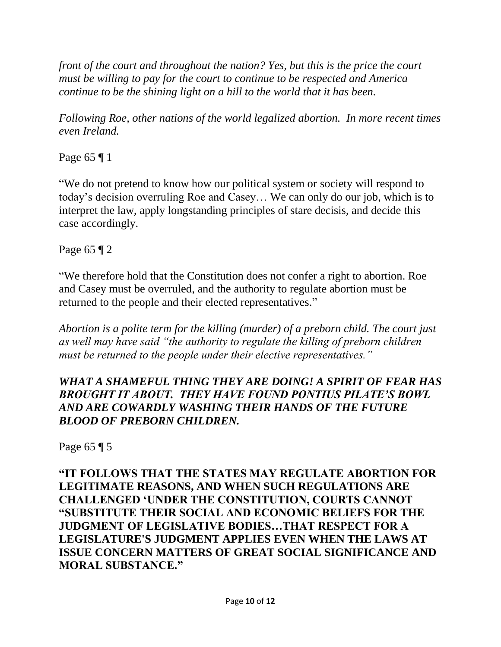*front of the court and throughout the nation? Yes, but this is the price the court must be willing to pay for the court to continue to be respected and America continue to be the shining light on a hill to the world that it has been.* 

*Following Roe, other nations of the world legalized abortion. In more recent times even Ireland.*

Page 65 ¶ 1

"We do not pretend to know how our political system or society will respond to today's decision overruling Roe and Casey… We can only do our job, which is to interpret the law, apply longstanding principles of stare decisis, and decide this case accordingly.

Page 65 ¶ 2

"We therefore hold that the Constitution does not confer a right to abortion. Roe and Casey must be overruled, and the authority to regulate abortion must be returned to the people and their elected representatives."

*Abortion is a polite term for the killing (murder) of a preborn child. The court just as well may have said "the authority to regulate the killing of preborn children must be returned to the people under their elective representatives."*

## *WHAT A SHAMEFUL THING THEY ARE DOING! A SPIRIT OF FEAR HAS BROUGHT IT ABOUT. THEY HAVE FOUND PONTIUS PILATE'S BOWL AND ARE COWARDLY WASHING THEIR HANDS OF THE FUTURE BLOOD OF PREBORN CHILDREN.*

Page 65 ¶ 5

**"IT FOLLOWS THAT THE STATES MAY REGULATE ABORTION FOR LEGITIMATE REASONS, AND WHEN SUCH REGULATIONS ARE CHALLENGED 'UNDER THE CONSTITUTION, COURTS CANNOT "SUBSTITUTE THEIR SOCIAL AND ECONOMIC BELIEFS FOR THE JUDGMENT OF LEGISLATIVE BODIES…THAT RESPECT FOR A LEGISLATURE'S JUDGMENT APPLIES EVEN WHEN THE LAWS AT ISSUE CONCERN MATTERS OF GREAT SOCIAL SIGNIFICANCE AND MORAL SUBSTANCE."**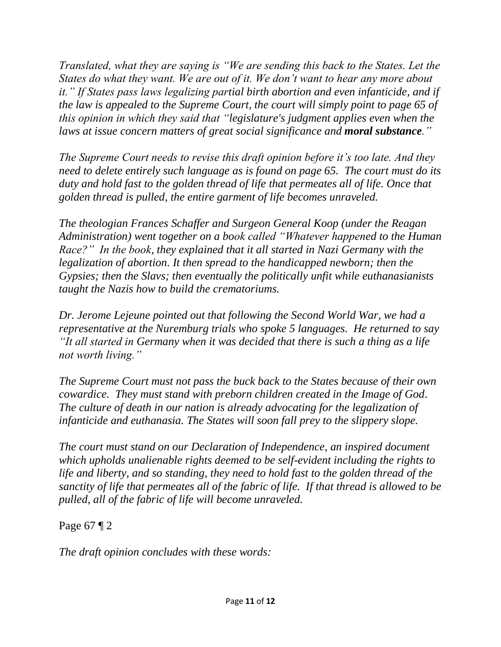*Translated, what they are saying is "We are sending this back to the States. Let the States do what they want. We are out of it. We don't want to hear any more about it." If States pass laws legalizing partial birth abortion and even infanticide, and if the law is appealed to the Supreme Court, the court will simply point to page 65 of this opinion in which they said that "legislature's judgment applies even when the laws at issue concern matters of great social significance and moral substance."*

*The Supreme Court needs to revise this draft opinion before it's too late. And they need to delete entirely such language as is found on page 65. The court must do its duty and hold fast to the golden thread of life that permeates all of life. Once that golden thread is pulled, the entire garment of life becomes unraveled.* 

*The theologian Frances Schaffer and Surgeon General Koop (under the Reagan Administration) went together on a book called "Whatever happened to the Human Race?" In the book, they explained that it all started in Nazi Germany with the legalization of abortion. It then spread to the handicapped newborn; then the Gypsies; then the Slavs; then eventually the politically unfit while euthanasianists taught the Nazis how to build the crematoriums.*

*Dr. Jerome Lejeune pointed out that following the Second World War, we had a representative at the Nuremburg trials who spoke 5 languages. He returned to say "It all started in Germany when it was decided that there is such a thing as a life not worth living."*

*The Supreme Court must not pass the buck back to the States because of their own cowardice. They must stand with preborn children created in the Image of God. The culture of death in our nation is already advocating for the legalization of infanticide and euthanasia. The States will soon fall prey to the slippery slope.*

*The court must stand on our Declaration of Independence, an inspired document which upholds unalienable rights deemed to be self-evident including the rights to life and liberty, and so standing, they need to hold fast to the golden thread of the sanctity of life that permeates all of the fabric of life. If that thread is allowed to be pulled, all of the fabric of life will become unraveled.*

Page 67 ¶ 2

*The draft opinion concludes with these words:*